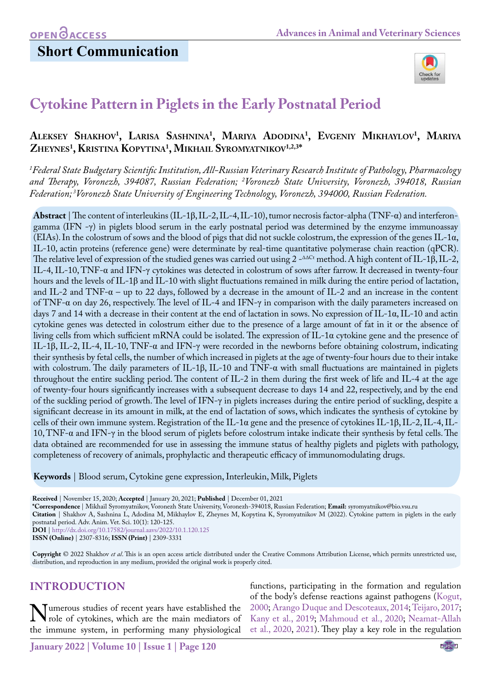## **Short Communication**



# **Cytokine Pattern in Piglets in the Early Postnatal Period**

## **Aleksey Shakhov1 , Larisa Sashnina1 , Mariya Adodina1 , Evgeniy Mikhaylov1 , Mariya Zheynes1 , Kristina Kopytina1 , Mikhail Syromyatnikov1,2,3\***

*1 Federal State Budgetary Scientific Institution, All-Russian Veterinary Research Institute of Pathology, Pharmacology and Therapy, Voronezh, 394087, Russian Federation; 2 Voronezh State University, Voronezh, 394018, Russian Federation; 3Voronezh State University of Engineering Technology, Voronezh, 394000, Russian Federation.*

**Abstract** | The content of interleukins (IL-1β, IL-2, IL-4, IL-10), tumor necrosis factor-alpha (TNF-α) and interferongamma (IFN -γ) in piglets blood serum in the early postnatal period was determined by the enzyme immunoassay (EIAs). In the colostrum of sows and the blood of pigs that did not suckle colostrum, the expression of the genes IL-1α, IL-10, actin proteins (reference gene) were determinate by real-time quantitative polymerase chain reaction (qPCR). The relative level of expression of the studied genes was carried out using 2 -∆∆Ct method. A high content of IL-1β, IL-2, IL-4, IL-10, TNF-α and IFN-γ cytokines was detected in colostrum of sows after farrow. It decreased in twenty-four hours and the levels of IL-1β and IL-10 with slight fluctuations remained in milk during the entire period of lactation, and IL-2 and TNF-α – up to 22 days, followed by a decrease in the amount of IL-2 and an increase in the content of TNF-α on day 26, respectively. The level of IL-4 and IFN-γ in comparison with the daily parameters increased on days 7 and 14 with a decrease in their content at the end of lactation in sows. No expression of IL-1α, IL-10 and actin cytokine genes was detected in colostrum either due to the presence of a large amount of fat in it or the absence of living cells from which sufficient mRNA could be isolated. The expression of IL-1α cytokine gene and the presence of IL-1β, IL-2, IL-4, IL-10, TNF-α and IFN-γ were recorded in the newborns before obtaining colostrum, indicating their synthesis by fetal cells, the number of which increased in piglets at the age of twenty-four hours due to their intake with colostrum. The daily parameters of IL-1β, IL-10 and TNF-α with small fluctuations are maintained in piglets throughout the entire suckling period. The content of IL-2 in them during the first week of life and IL-4 at the age of twenty-four hours significantly increases with a subsequent decrease to days 14 and 22, respectively, and by the end of the suckling period of growth. The level of IFN-γ in piglets increases during the entire period of suckling, despite a significant decrease in its amount in milk, at the end of lactation of sows, which indicates the synthesis of cytokine by cells of their own immune system. Registration of the IL-1α gene and the presence of cytokines IL-1β, IL-2, IL-4, IL-10, TNF-α and IFN-γ in the blood serum of piglets before colostrum intake indicate their synthesis by fetal cells. The data obtained are recommended for use in assessing the immune status of healthy piglets and piglets with pathology, completeness of recovery of animals, prophylactic and therapeutic efficacy of immunomodulating drugs.

**Keywords** | Blood serum, Cytokine gene expression, Interleukin, Milk, Piglets

**Received** | November 15, 2020; **Accepted** | January 20, 2021; **Published** | December 01, 2021

**\*Correspondence** | Mikhail Syromyatnikov, Voronezh State University, Voronezh-394018, Russian Federation; **Email:** syromyatnikov@bio.vsu.ru

**Citation** | Shakhov A, Sashnina L, Adodina M, Mikhaylov E, Zheynes M, Kopytina K, Syromyatnikov M (2022). Cytokine pattern in piglets in the early postnatal period. Adv. Anim. Vet. Sci. 10(1): 120-125.

**DOI** |<http://dx.doi.org/10.17582/journal.aavs/2022/10.1.120.125>

**ISSN (Online)** | 2307-8316; **ISSN (Print)** | 2309-3331

**Copyright** © 2022 Shakhov *et al*. This is an open access article distributed under the Creative Commons Attribution License, which permits unrestricted use, distribution, and reproduction in any medium, provided the original work is properly cited.

### **INTRODUCTION**

Numerous studies of recent years have established the role of cytokines, which are the main mediators of the immune system in performing many physiological the immune system, in performing many physiological

functions, participating in the formation and regulation of the body's defense reactions against pathogens ([Kogut,](#page-5-0) [2000](#page-5-0); [Arango Duque and Descoteaux, 2014](#page-4-0); [Teijaro, 2017;](#page-5-1) [Kany et al., 2019;](#page-5-2) [Mahmoud et al., 2020;](#page-5-3) [Neamat-Allah](#page-5-4) [et al., 2020](#page-5-4), [2021](#page-5-5)). They play a key role in the regulation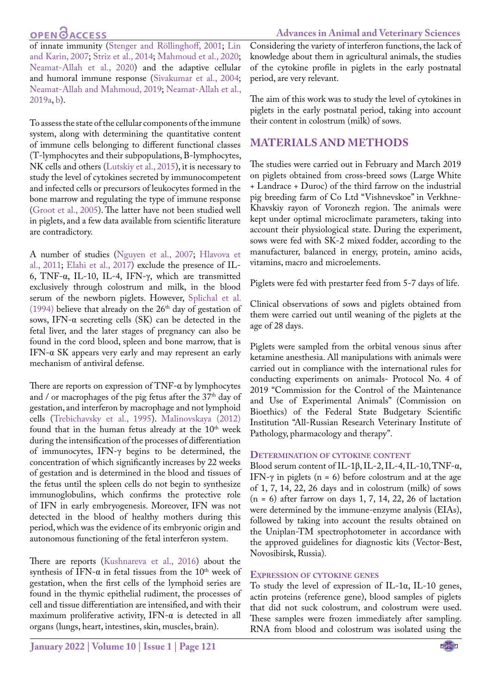## **OPEN**<sub>d</sub>

**Advances in Animal and Veterinary Sciences**

of innate immunity (Stenger and Röllinghoff, 2001; [Lin](#page-5-6)  [and Karin, 2007;](#page-5-6) [Striz et al., 2014;](#page-5-7) [Mahmoud et al., 2020;](#page-5-3) [Neamat-Allah et al., 2020\)](#page-5-4) and the adaptive cellular and humoral immune response [\(Sivakumar et al., 2004;](#page-5-8) [Neamat-Allah and Mahmoud, 2019](#page-5-9); [Neamat-Allah et al.,](#page-5-9)  [2019a,](#page-5-9) [b](#page-5-10)).

To assess the state of the cellular components of the immune system, along with determining the quantitative content of immune cells belonging to different functional classes (T-lymphocytes and their subpopulations, B-lymphocytes, NK cells and others ([Lutskiy et al., 2015\)](#page-5-11), it is necessary to study the level of cytokines secreted by immunocompetent and infected cells or precursors of leukocytes formed in the bone marrow and regulating the type of immune response ([Groot et al., 2005\)](#page-5-12). The latter have not been studied well in piglets, and a few data available from scientific literature are contradictory.

A number of studies ([Nguyen et al., 2007](#page-5-13); [Hlavova et](#page-5-2)  [al., 2011](#page-5-2); [Elahi et al., 2017](#page-4-1)) exclude the presence of IL-6, TNF-α, IL-10, IL-4, IFN-γ, which are transmitted exclusively through colostrum and milk, in the blood serum of the newborn piglets. However, [Splichal et al.](#page-5-14)  [\(1994\)](#page-5-14) believe that already on the  $26<sup>th</sup>$  day of gestation of sows, IFN-α secreting cells (SK) can be detected in the fetal liver, and the later stages of pregnancy can also be found in the cord blood, spleen and bone marrow, that is IFN-α SK appears very early and may represent an early mechanism of antiviral defense.

There are reports on expression of  $TNF-\alpha$  by lymphocytes and / or macrophages of the pig fetus after the 37<sup>th</sup> day of gestation, and interferon by macrophage and not lymphoid cells ([Trebichavsky et al., 1995\)](#page-5-15). [Malinovskaya \(2012\)](#page-5-16)  found that in the human fetus already at the  $10<sup>th</sup>$  week during the intensification of the processes of differentiation of immunocytes, IFN-γ begins to be determined, the concentration of which significantly increases by 22 weeks of gestation and is determined in the blood and tissues of the fetus until the spleen cells do not begin to synthesize immunoglobulins, which confirms the protective role of IFN in early embryogenesis. Moreover, IFN was not detected in the blood of healthy mothers during this period, which was the evidence of its embryonic origin and autonomous functioning of the fetal interferon system.

There are reports ([Kushnareva et al., 2016\)](#page-5-17) about the synthesis of IFN- $\alpha$  in fetal tissues from the 10<sup>th</sup> week of gestation, when the first cells of the lymphoid series are found in the thymic epithelial rudiment, the processes of cell and tissue differentiation are intensified, and with their maximum proliferative activity, IFN- $\alpha$  is detected in all organs (lungs, heart, intestines, skin, muscles, brain).

**January 2022 | Volume 10 | Issue 1 | Page 121**

Considering the variety of interferon functions, the lack of knowledge about them in agricultural animals, the studies of the cytokine profile in piglets in the early postnatal period, are very relevant.

The aim of this work was to study the level of cytokines in piglets in the early postnatal period, taking into account their content in colostrum (milk) of sows.

### **MATERIALS AND METHODS**

The studies were carried out in February and March 2019 on piglets obtained from cross-breed sows (Large White + Landrace + Duroc) of the third farrow on the industrial pig breeding farm of Co Ltd "Vishnevskoe" in Verkhne-Khavskiy rayon of Voronezh region. The animals were kept under optimal microclimate parameters, taking into account their physiological state. During the experiment, sows were fed with SK-2 mixed fodder, according to the manufacturer, balanced in energy, protein, amino acids, vitamins, macro and microelements.

Piglets were fed with prestarter feed from 5-7 days of life.

Clinical observations of sows and piglets obtained from them were carried out until weaning of the piglets at the age of 28 days.

Piglets were sampled from the orbital venous sinus after ketamine anesthesia. All manipulations with animals were carried out in compliance with the international rules for conducting experiments on animals- Protocol No. 4 of 2019 "Commission for the Control of the Maintenance and Use of Experimental Animals" (Commission on Bioethics) of the Federal State Budgetary Scientific Institution "All-Russian Research Veterinary Institute of Pathology, pharmacology and therapy".

### **Determination of cytokine content**

Blood serum content of IL-1β, IL-2, IL-4, IL-10, TNF-α, IFN- $\gamma$  in piglets (n = 6) before colostrum and at the age of 1, 7, 14, 22, 26 days and in colostrum (milk) of sows  $(n = 6)$  after farrow on days 1, 7, 14, 22, 26 of lactation were determined by the immune-enzyme analysis (EIAs), followed by taking into account the results obtained on the Uniplan-TM spectrophotometer in accordance with the approved guidelines for diagnostic kits (Vector-Best, Novosibirsk, Russia).

### **Expression of cytokine genes**

To study the level of expression of IL-1α, IL-10 genes, actin proteins (reference gene), blood samples of piglets that did not suck colostrum, and colostrum were used. These samples were frozen immediately after sampling. RNA from blood and colostrum was isolated using the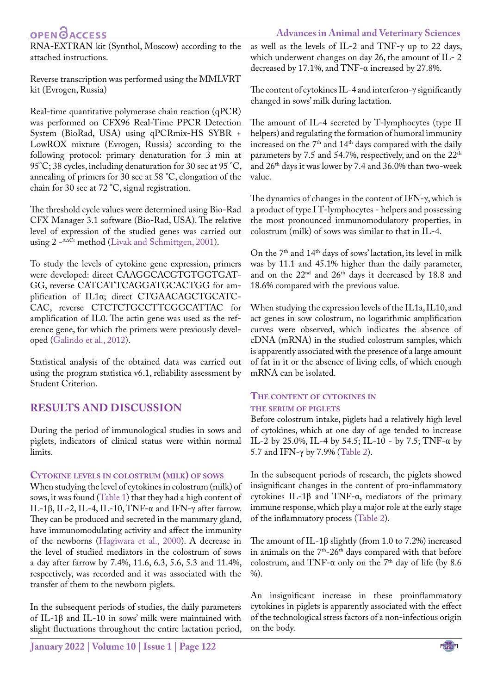## **OPENOACCESS**

RNA-EXTRAN kit (Synthol, Moscow) according to the attached instructions.

Reverse transcription was performed using the MMLVRT kit (Evrogen, Russia)

Real-time quantitative polymerase chain reaction (qPCR) was performed on CFX96 Real-Time PPCR Detection System (BioRad, USA) using qPCRmix-HS SYBR + LowROX mixture (Evrogen, Russia) according to the following protocol: primary denaturation for 3 min at 95°C; 38 cycles, including denaturation for 30 sec at 95 °C, annealing of primers for 30 sec at 58 °C, elongation of the chain for 30 sec at 72 °C, signal registration.

The threshold cycle values were determined using Bio-Rad CFX Manager 3.1 software (Bio-Rad, USA). The relative level of expression of the studied genes was carried out using 2 -∆∆Ct method [\(Livak and Schmittgen, 2001](#page-5-18)).

To study the levels of cytokine gene expression, primers were developed: direct CAAGGCACGTGTGGTGAT-GG, reverse CATCATTCAGGATGCACTGG for amplification of IL1α; direct CTGAACAGCTGCATC-CAC, reverse CTCTCTGCCTTCGGCATTAC for amplification of IL0. The actin gene was used as the reference gene, for which the primers were previously developed (Galindo et al., 2012).

Statistical analysis of the obtained data was carried out using the program statistica v6.1, reliability assessment by Student Criterion.

### **RESULTS AND DISCUSSION**

During the period of immunological studies in sows and piglets, indicators of clinical status were within normal limits.

### **Cytokine levels in colostrum (milk) of sows**

When studying the level of cytokines in colostrum (milk) of sows, it was found ([Table 1](#page-3-0)) that they had a high content of IL-1β, IL-2, IL-4, IL-10, TNF-α and IFN-γ after farrow. They can be produced and secreted in the mammary gland, have immunomodulating activity and affect the immunity of the newborns ([Hagiwara et al., 2000](#page-5-19)). A decrease in the level of studied mediators in the colostrum of sows a day after farrow by 7.4%, 11.6, 6.3, 5.6, 5.3 and 11.4%, respectively, was recorded and it was associated with the transfer of them to the newborn piglets.

In the subsequent periods of studies, the daily parameters of IL-1β and IL-10 in sows' milk were maintained with slight fluctuations throughout the entire lactation period,

**Advances in Animal and Veterinary Sciences** as well as the levels of IL-2 and TNF-γ up to 22 days, which underwent changes on day 26, the amount of IL- 2

The content of cytokines IL-4 and interferon-γ significantly changed in sows' milk during lactation.

decreased by 17.1%, and TNF-α increased by 27.8%.

The amount of IL-4 secreted by T-lymphocytes (type II helpers) and regulating the formation of humoral immunity increased on the 7<sup>th</sup> and 14<sup>th</sup> days compared with the daily parameters by 7.5 and 54.7%, respectively, and on the 22<sup>th</sup> and 26th days it was lower by 7.4 and 36.0% than two-week value.

The dynamics of changes in the content of IFN-γ, which is a product of type I T-lymphocytes - helpers and possessing the most pronounced immunomodulatory properties, in colostrum (milk) of sows was similar to that in IL-4.

On the 7th and 14th days of sows' lactation, its level in milk was by 11.1 and 45.1% higher than the daily parameter, and on the 22nd and 26th days it decreased by 18.8 and 18.6% compared with the previous value.

When studying the expression levels of the IL1a, IL10, and act genes in sow colostrum, no logarithmic amplification curves were observed, which indicates the absence of cDNA (mRNA) in the studied colostrum samples, which is apparently associated with the presence of a large amount of fat in it or the absence of living cells, of which enough mRNA can be isolated.

### **The content of cytokines in the serum of piglets**

Before colostrum intake, piglets had a relatively high level of cytokines, which at one day of age tended to increase IL-2 by 25.0%, IL-4 by 54.5; IL-10 - by 7.5; TNF- $\alpha$  by 5.7 and IFN-γ by 7.9% ([Table 2\)](#page-3-1).

In the subsequent periods of research, the piglets showed insignificant changes in the content of pro-inflammatory cytokines IL-1β and TNF-α, mediators of the primary immune response, which play a major role at the early stage of the inflammatory process ([Table 2](#page-3-1)).

The amount of IL-1β slightly (from 1.0 to 7.2%) increased in animals on the  $7<sup>th</sup>-26<sup>th</sup>$  days compared with that before colostrum, and TNF- $\alpha$  only on the 7<sup>th</sup> day of life (by 8.6)  $\%$ ).

An insignificant increase in these proinflammatory cytokines in piglets is apparently associated with the effect of the technological stress factors of a non-infectious origin on the body.

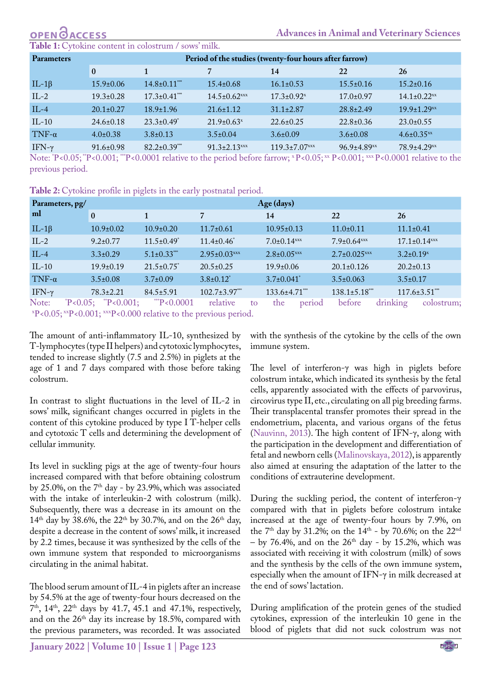# **OPEN GACCESS**

<span id="page-3-0"></span>**Le 1:** Cytokine content in colostrum / sows' milk.

| <b>Parameters</b> | Period of the studies (twenty-four hours after farrow) |                     |                                |                                 |                               |                               |  |  |  |  |
|-------------------|--------------------------------------------------------|---------------------|--------------------------------|---------------------------------|-------------------------------|-------------------------------|--|--|--|--|
|                   | $\bf{0}$                                               | 1                   |                                | 14                              | 22                            | <b>26</b>                     |  |  |  |  |
| IL-1 $\beta$      | $15.9 \pm 0.06$                                        | $14.8 \pm 0.11$ *** | $15.4 \pm 0.68$                | $16.1 \pm 0.53$                 | $15.5 \pm 0.16$               | $15.2 \pm 0.16$               |  |  |  |  |
| $IL-2$            | $19.3 \pm 0.28$                                        | $17.3 \pm 0.41$ *** | $14.5 \pm 0.62$ <sup>xxx</sup> | $17.3 \pm 0.92$ <sup>x</sup>    | $17.0 \pm 0.97$               | $14.1 \pm 0.22$ <sup>xx</sup> |  |  |  |  |
| $IL-4$            | $20.1 \pm 0.27$                                        | $18.9 \pm 1.96$     | $21.6 \pm 1.12$                | $31.1 \pm 2.87$                 | $28.8 \pm 2.49$               | $19.9 \pm 1.29$ <sup>xx</sup> |  |  |  |  |
| $IL-10$           | $24.6 \pm 0.18$                                        | $23.3 \pm 0.49^*$   | $21.9 \pm 0.63$ <sup>x</sup>   | $22.6 \pm 0.25$                 | $22.8 \pm 0.36$               | $23.0 \pm 0.55$               |  |  |  |  |
| TNF- $\alpha$     | $4.0 \pm 0.38$                                         | $3.8 \pm 0.13$      | $3.5 \pm 0.04$                 | $3.6 \pm 0.09$                  | $3.6 \pm 0.08$                | $4.6 \pm 0.35$ <sup>xx</sup>  |  |  |  |  |
| IFN- $\gamma$     | $91.6 \pm 0.98$                                        | $82.2 \pm 0.39$ *** | $91.3 \pm 2.13$ <sup>xxx</sup> | $119.3 \pm 7.07$ <sup>xxx</sup> | $96.9 \pm 4.89$ <sub>xx</sub> | $78.9 \pm 4.29$ <sub>xx</sub> |  |  |  |  |

Note: `P<0.05; ``P<0.001; ```P<0.0001 relative to the period before farrow; ``P<0.05; ``` P<0.001; ````` P<0.0001 relative to the previous period.

<span id="page-3-1"></span>Table 2: Cytokine profile in piglets in the early postnatal period.

| Parameters, pg/ |                                                                                                                                                                                                                                                                                | Age (days)                   |                              |                               |                               |        |                                |                 |                                |  |  |
|-----------------|--------------------------------------------------------------------------------------------------------------------------------------------------------------------------------------------------------------------------------------------------------------------------------|------------------------------|------------------------------|-------------------------------|-------------------------------|--------|--------------------------------|-----------------|--------------------------------|--|--|
| ml              | $\bf{0}$                                                                                                                                                                                                                                                                       | $\mathbf{1}$                 | $\overline{7}$               |                               | 14                            |        | 22                             | <b>26</b>       |                                |  |  |
| IL-1 $\beta$    | $10.9 \pm 0.02$                                                                                                                                                                                                                                                                | $10.9 \pm 0.20$              | $11.7 \pm 0.61$              | $10.95 \pm 0.13$              |                               |        | $11.0 \pm 0.11$                | $11.1 \pm 0.41$ |                                |  |  |
| $IL-2$          | $9.2 \pm 0.77$                                                                                                                                                                                                                                                                 | $11.5 \pm 0.49$ <sup>*</sup> | $11.4 \pm 0.46$ <sup>*</sup> | $7.0 \pm 0.14$ <sup>xxx</sup> |                               |        | $7.9 \pm 0.64$ <sup>xxx</sup>  |                 | $17.1 \pm 0.14$ <sup>xxx</sup> |  |  |
| $IL-4$          | $3.3 \pm 0.29$                                                                                                                                                                                                                                                                 | $5.1 \pm 0.33$ ***           | $2.95 \pm 0.03$ xxx          |                               | $2.8 \pm 0.05$ <sup>xxx</sup> |        | $2.7 \pm 0.025$ <sup>xxx</sup> |                 | $3.2 \pm 0.19$ <sup>x</sup>    |  |  |
| $IL-10$         | $19.9 \pm 0.19$                                                                                                                                                                                                                                                                | $21.5 \pm 0.75$              | $20.5 \pm 0.25$              |                               | $19.9 \pm 0.06$               |        | $20.1 \pm 0.126$               |                 | $20.2 \pm 0.13$                |  |  |
| TNF- $\alpha$   | $3.5 \pm 0.08$                                                                                                                                                                                                                                                                 | $3.7 \pm 0.09$               | $3.8 \pm 0.12^*$             |                               | $3.7 \pm 0.041$ <sup>*</sup>  |        | $3.5 \pm 0.063$                | $3.5 \pm 0.17$  |                                |  |  |
| IFN- $\gamma$   | $78.3 \pm 2.21$                                                                                                                                                                                                                                                                | $84.5 \pm 5.91$              | $102.7 \pm 3.97$ ***         |                               | $133.6 \pm 4.71$ ***          |        | $138.1 \pm 5.18$ ***           |                 | $117.6 \pm 3.51$ ***           |  |  |
| Note:           | $P<0.05$ ; $P<0.001$ ;<br>$\mathbf{v} \mathbf{D}$ $\mathbf{A} \mathbf{A} \mathbf{F}$ $\mathbf{v} \mathbf{v} \mathbf{D}$ $\mathbf{A} \mathbf{A} \mathbf{A}$ $\mathbf{v} \mathbf{v} \mathbf{D}$ $\mathbf{A} \mathbf{A} \mathbf{A} \mathbf{A}$ $\mathbf{A} \mathbf{A} \mathbf{A}$ | $*$ P<0.0001                 | relative                     | to                            | the                           | period | before                         | drinking        | colostrum;                     |  |  |

х Р<0.05; ххР<0.001; хххР<0.000 relative to the previous period.

The amount of anti-inflammatory IL-10, synthesized by T-lymphocytes (type II helpers) and cytotoxic lymphocytes, tended to increase slightly (7.5 and 2.5%) in piglets at the age of 1 and 7 days compared with those before taking colostrum.

In contrast to slight fluctuations in the level of IL-2 in sows' milk, significant changes occurred in piglets in the content of this cytokine produced by type I T-helper cells and cytotoxic T cells and determining the development of cellular immunity.

Its level in suckling pigs at the age of twenty-four hours increased compared with that before obtaining colostrum by 25.0%, on the 7<sup>th</sup> day - by 23.9%, which was associated with the intake of interleukin-2 with colostrum (milk). Subsequently, there was a decrease in its amount on the  $14<sup>th</sup>$  day by 38.6%, the 22<sup>th</sup> by 30.7%, and on the 26<sup>th</sup> day, despite a decrease in the content of sows' milk, it increased by 2.2 times, because it was synthesized by the cells of the own immune system that responded to microorganisms circulating in the animal habitat.

The blood serum amount of IL-4 in piglets after an increase by 54.5% at the age of twenty-four hours decreased on the 7<sup>th</sup>, 14<sup>th</sup>, 22<sup>th</sup> days by 41.7, 45.1 and 47.1%, respectively, and on the 26<sup>th</sup> day its increase by 18.5%, compared with the previous parameters, was recorded. It was associated

with the synthesis of the cytokine by the cells of the own immune system.

The level of interferon-γ was high in piglets before colostrum intake, which indicated its synthesis by the fetal cells, apparently associated with the effects of parvovirus, circovirus type II, etc., circulating on all pig breeding farms. Their transplacental transfer promotes their spread in the endometrium, placenta, and various organs of the fetus [\(Nauvinn, 2013](#page-5-20)). The high content of IFN-γ, along with the participation in the development and differentiation of fetal and newborn cells [\(Malinovskaya, 2012](#page-5-16)), is apparently also aimed at ensuring the adaptation of the latter to the conditions of extrauterine development.

During the suckling period, the content of interferon-γ compared with that in piglets before colostrum intake increased at the age of twenty-four hours by 7.9%, on the 7<sup>th</sup> day by 31.2%; on the 14<sup>th</sup> - by 70.6%; on the 22<sup>nd</sup> – by 76.4%, and on the  $26<sup>th</sup>$  day - by 15.2%, which was associated with receiving it with colostrum (milk) of sows and the synthesis by the cells of the own immune system, especially when the amount of IFN-γ in milk decreased at the end of sows' lactation.

During amplification of the protein genes of the studied cytokines, expression of the interleukin 10 gene in the blood of piglets that did not suck colostrum was not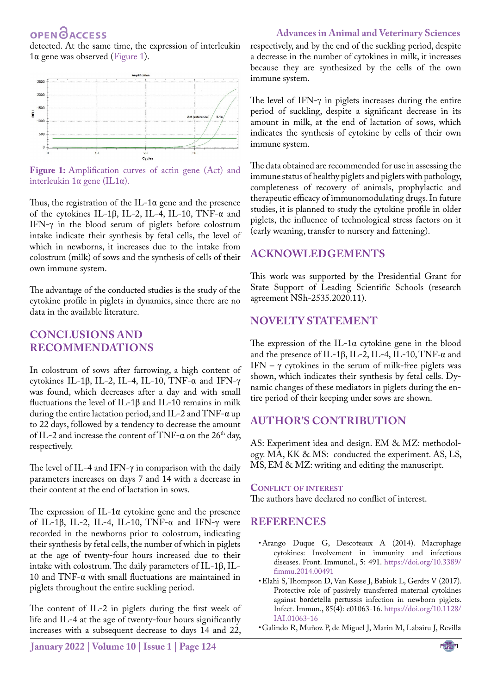## **OPEN GACCESS**

detected. At the same time, the expression of interleukin 1α gene was observed ([Figure 1\)](#page-4-2).



<span id="page-4-2"></span>Figure 1: Amplification curves of actin gene (Act) and interleukin 1α gene (IL1α).

Thus, the registration of the IL-1 $\alpha$  gene and the presence of the cytokines IL-1β, IL-2, IL-4, IL-10, TNF-α and IFN-γ in the blood serum of piglets before colostrum intake indicate their synthesis by fetal cells, the level of which in newborns, it increases due to the intake from colostrum (milk) of sows and the synthesis of cells of their own immune system.

The advantage of the conducted studies is the study of the cytokine profile in piglets in dynamics, since there are no data in the available literature.

### **CONCLUSIONS and Recommendations**

In colostrum of sows after farrowing, a high content of cytokines IL-1β, IL-2, IL-4, IL-10, TNF-α and IFN-γ was found, which decreases after a day and with small fluctuations the level of IL-1β and IL-10 remains in milk during the entire lactation period, and IL-2 and TNF-α up to 22 days, followed by a tendency to decrease the amount of IL-2 and increase the content of TNF- $\alpha$  on the 26<sup>th</sup> day, respectively.

The level of IL-4 and IFN-γ in comparison with the daily parameters increases on days 7 and 14 with a decrease in their content at the end of lactation in sows.

The expression of IL-1 $\alpha$  cytokine gene and the presence of IL-1β, IL-2, IL-4, IL-10, TNF-α and IFN-γ were recorded in the newborns prior to colostrum, indicating their synthesis by fetal cells, the number of which in piglets at the age of twenty-four hours increased due to their intake with colostrum. The daily parameters of IL-1β, IL-10 and TNF-α with small fluctuations are maintained in piglets throughout the entire suckling period.

The content of IL-2 in piglets during the first week of life and IL-4 at the age of twenty-four hours significantly increases with a subsequent decrease to days 14 and 22,

respectively, and by the end of the suckling period, despite a decrease in the number of cytokines in milk, it increases because they are synthesized by the cells of the own immune system.

The level of IFN- $\gamma$  in piglets increases during the entire period of suckling, despite a significant decrease in its amount in milk, at the end of lactation of sows, which indicates the synthesis of cytokine by cells of their own immune system.

The data obtained are recommended for use in assessing the immune status of healthy piglets and piglets with pathology, completeness of recovery of animals, prophylactic and therapeutic efficacy of immunomodulating drugs. In future studies, it is planned to study the cytokine profile in older piglets, the influence of technological stress factors on it (early weaning, transfer to nursery and fattening).

### **Acknowledgements**

This work was supported by the Presidential Grant for State Support of Leading Scientific Schools (research agreement NSh-2535.2020.11).

### **Novelty Statement**

The expression of the IL-1α cytokine gene in the blood and the presence of IL-1β, IL-2, IL-4, IL-10, TNF-α and IFN –  $\gamma$  cytokines in the serum of milk-free piglets was shown, which indicates their synthesis by fetal cells. Dynamic changes of these mediators in piglets during the entire period of their keeping under sows are shown.

### **Author's Contribution**

AS: Experiment idea and design. EM & MZ: methodology. MA, KK & MS: conducted the experiment. AS, LS, MS, EM & MZ: writing and editing the manuscript.

#### **Conflict of interest**

The authors have declared no conflict of interest.

### **REFERENCES**

- <span id="page-4-0"></span>• Arango Duque G, Descoteaux A (2014). Macrophage cytokines: Involvement in immunity and infectious diseases. Front. Immunol., 5: 491. [https://doi.org/10.3389/](https://doi.org/10.3389/fimmu.2014.00491) [fimmu.2014.00491](https://doi.org/10.3389/fimmu.2014.00491)
- <span id="page-4-1"></span>• Elahi S, Thompson D, Van Kesse J, Babiuk L, Gerdts V (2017). Protective role of passively transferred maternal cytokines against bordetella pertussis infection in newborn piglets. Infect. Immun., 85(4): e01063-16. [https://doi.org/10.1128/](https://doi.org/10.1128/IAI.01063-16) [IAI.01063-16](https://doi.org/10.1128/IAI.01063-16)
- • Galindo R, Muñoz P, de Miguel J, Marin M, Labairu J, Revilla